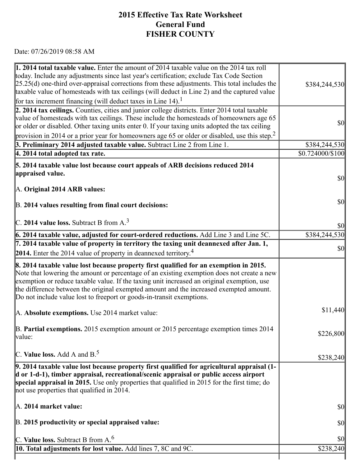## 7/26/2019 https://actweb.acttax.com/tnt/application/reports/1564149533585.html **2015 Effective Tax Rate Worksheet General Fund FISHER COUNTY**

Date: 07/26/2019 08:58 AM

| 1. 2014 total taxable value. Enter the amount of 2014 taxable value on the 2014 tax roll<br>today. Include any adjustments since last year's certification; exclude Tax Code Section<br>$[25.25(d)$ one-third over-appraisal corrections from these adjustments. This total includes the<br>taxable value of homesteads with tax ceilings (will deduct in Line 2) and the captured value                                                             | \$384,244,530                       |
|------------------------------------------------------------------------------------------------------------------------------------------------------------------------------------------------------------------------------------------------------------------------------------------------------------------------------------------------------------------------------------------------------------------------------------------------------|-------------------------------------|
| for tax increment financing (will deduct taxes in Line 14).                                                                                                                                                                                                                                                                                                                                                                                          |                                     |
| 2. 2014 tax ceilings. Counties, cities and junior college districts. Enter 2014 total taxable<br>value of homesteads with tax ceilings. These include the homesteads of homeowners age 65<br>or older or disabled. Other taxing units enter 0. If your taxing units adopted the tax ceiling                                                                                                                                                          | $\vert \mathbf{S} \mathbf{O} \vert$ |
| provision in 2014 or a prior year for homeowners age 65 or older or disabled, use this step. <sup>2</sup>                                                                                                                                                                                                                                                                                                                                            |                                     |
| 3. Preliminary 2014 adjusted taxable value. Subtract Line 2 from Line 1.                                                                                                                                                                                                                                                                                                                                                                             | \$384,244,530                       |
| 4. 2014 total adopted tax rate.                                                                                                                                                                                                                                                                                                                                                                                                                      | \$0.724000/\$100                    |
| 5. 2014 taxable value lost because court appeals of ARB decisions reduced 2014<br>appraised value.                                                                                                                                                                                                                                                                                                                                                   | $\vert \mathbf{S} \mathbf{O} \vert$ |
| A. Original 2014 ARB values:                                                                                                                                                                                                                                                                                                                                                                                                                         |                                     |
| B. 2014 values resulting from final court decisions:                                                                                                                                                                                                                                                                                                                                                                                                 | $\vert \mathcal{S}0 \vert$          |
| C. 2014 value loss. Subtract B from $A3$                                                                                                                                                                                                                                                                                                                                                                                                             | $\vert \$\text{0}\vert$             |
| 6. 2014 taxable value, adjusted for court-ordered reductions. Add Line 3 and Line 5C.                                                                                                                                                                                                                                                                                                                                                                | \$384,244,530                       |
| 7. 2014 taxable value of property in territory the taxing unit deannexed after Jan. 1,                                                                                                                                                                                                                                                                                                                                                               | $\vert \mathbf{S} \mathbf{O} \vert$ |
| <b>2014.</b> Enter the 2014 value of property in deannexed territory. <sup>4</sup>                                                                                                                                                                                                                                                                                                                                                                   |                                     |
| 8. 2014 taxable value lost because property first qualified for an exemption in 2015.<br>Note that lowering the amount or percentage of an existing exemption does not create a new<br>exemption or reduce taxable value. If the taxing unit increased an original exemption, use<br>the difference between the original exempted amount and the increased exempted amount.<br>Do not include value lost to freeport or goods-in-transit exemptions. |                                     |
| A. Absolute exemptions. Use 2014 market value:                                                                                                                                                                                                                                                                                                                                                                                                       | \$11,440                            |
| B. Partial exemptions. 2015 exemption amount or 2015 percentage exemption times 2014<br>value:                                                                                                                                                                                                                                                                                                                                                       | \$226,800                           |
| C. Value loss. Add A and $B^5$ .                                                                                                                                                                                                                                                                                                                                                                                                                     | \$238,240                           |
| 9. 2014 taxable value lost because property first qualified for agricultural appraisal (1-<br>d or 1-d-1), timber appraisal, recreational/scenic appraisal or public access airport<br>special appraisal in 2015. Use only properties that qualified in 2015 for the first time; do<br>not use properties that qualified in 2014.                                                                                                                    |                                     |
| $\mathbb{A}$ . 2014 market value:                                                                                                                                                                                                                                                                                                                                                                                                                    | $\vert \mathbf{S} \mathbf{O} \vert$ |
| B. 2015 productivity or special appraised value:                                                                                                                                                                                                                                                                                                                                                                                                     | $\vert \mathbf{S} \mathbf{O} \vert$ |
| C. Value loss. Subtract B from $A6$                                                                                                                                                                                                                                                                                                                                                                                                                  | $\frac{1}{2}$                       |
| <b>10. Total adjustments for lost value.</b> Add lines 7, 8C and 9C.                                                                                                                                                                                                                                                                                                                                                                                 | \$238,240                           |
|                                                                                                                                                                                                                                                                                                                                                                                                                                                      |                                     |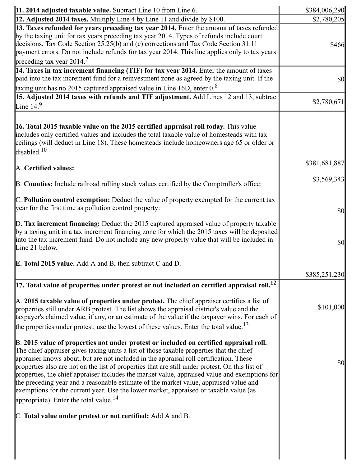| $\vert$ 11. 2014 adjusted taxable value. Subtract Line 10 from Line 6.                                                                                                                                                                                                                                                                                                                                                                                                                                                                                                                                                                                                                                                   | \$384,006,290                       |
|--------------------------------------------------------------------------------------------------------------------------------------------------------------------------------------------------------------------------------------------------------------------------------------------------------------------------------------------------------------------------------------------------------------------------------------------------------------------------------------------------------------------------------------------------------------------------------------------------------------------------------------------------------------------------------------------------------------------------|-------------------------------------|
| 12. Adjusted 2014 taxes. Multiply Line 4 by Line 11 and divide by \$100.                                                                                                                                                                                                                                                                                                                                                                                                                                                                                                                                                                                                                                                 | \$2,780,205                         |
| 13. Taxes refunded for years preceding tax year 2014. Enter the amount of taxes refunded<br>by the taxing unit for tax years preceding tax year 2014. Types of refunds include court<br>decisions, Tax Code Section 25.25(b) and (c) corrections and Tax Code Section 31.11<br>payment errors. Do not include refunds for tax year 2014. This line applies only to tax years<br>preceding tax year $2014.7$                                                                                                                                                                                                                                                                                                              | \$466                               |
| 14. Taxes in tax increment financing (TIF) for tax year 2014. Enter the amount of taxes<br>paid into the tax increment fund for a reinvestment zone as agreed by the taxing unit. If the<br>taxing unit has no $2015$ captured appraised value in Line 16D, enter $0.8$                                                                                                                                                                                                                                                                                                                                                                                                                                                  | $\vert \$\text{0}\vert$             |
| 15. Adjusted 2014 taxes with refunds and TIF adjustment. Add Lines 12 and 13, subtract<br>Line 14. $9$                                                                                                                                                                                                                                                                                                                                                                                                                                                                                                                                                                                                                   | \$2,780,671                         |
| 16. Total 2015 taxable value on the 2015 certified appraisal roll today. This value<br>includes only certified values and includes the total taxable value of homesteads with tax<br>ceilings (will deduct in Line 18). These homesteads include homeowners age 65 or older or<br>disabled. <sup>10</sup>                                                                                                                                                                                                                                                                                                                                                                                                                |                                     |
| A. Certified values:                                                                                                                                                                                                                                                                                                                                                                                                                                                                                                                                                                                                                                                                                                     | \$381,681,887                       |
| B. Counties: Include railroad rolling stock values certified by the Comptroller's office:                                                                                                                                                                                                                                                                                                                                                                                                                                                                                                                                                                                                                                | \$3,569,343                         |
| $\mathbb C$ . Pollution control exemption: Deduct the value of property exempted for the current tax<br>year for the first time as pollution control property:                                                                                                                                                                                                                                                                                                                                                                                                                                                                                                                                                           | $\frac{1}{2}$                       |
| $\mathbb D$ . Tax increment financing: Deduct the 2015 captured appraised value of property taxable<br>by a taxing unit in a tax increment financing zone for which the 2015 taxes will be deposited<br>into the tax increment fund. Do not include any new property value that will be included in<br>Line 21 below.                                                                                                                                                                                                                                                                                                                                                                                                    | $\frac{1}{2}$                       |
| <b>E. Total 2015 value.</b> Add A and B, then subtract C and D.                                                                                                                                                                                                                                                                                                                                                                                                                                                                                                                                                                                                                                                          |                                     |
|                                                                                                                                                                                                                                                                                                                                                                                                                                                                                                                                                                                                                                                                                                                          | \$385,251,230                       |
| $\vert$ 17. Total value of properties under protest or not included on certified appraisal roll. $^{12}$                                                                                                                                                                                                                                                                                                                                                                                                                                                                                                                                                                                                                 |                                     |
| $\mathbb A$ . 2015 taxable value of properties under protest. The chief appraiser certifies a list of<br>properties still under ARB protest. The list shows the appraisal district's value and the<br>taxpayer's claimed value, if any, or an estimate of the value if the taxpayer wins. For each of<br>the properties under protest, use the lowest of these values. Enter the total value. <sup>13</sup>                                                                                                                                                                                                                                                                                                              | \$101,000                           |
| B. 2015 value of properties not under protest or included on certified appraisal roll.<br>The chief appraiser gives taxing units a list of those taxable properties that the chief<br>appraiser knows about, but are not included in the appraisal roll certification. These<br>properties also are not on the list of properties that are still under protest. On this list of<br>properties, the chief appraiser includes the market value, appraised value and exemptions for<br>the preceding year and a reasonable estimate of the market value, appraised value and<br>exemptions for the current year. Use the lower market, appraised or taxable value (as<br>appropriate). Enter the total value. <sup>14</sup> | $\vert \mathbf{S} \mathbf{O} \vert$ |
| C. Total value under protest or not certified: Add A and B.                                                                                                                                                                                                                                                                                                                                                                                                                                                                                                                                                                                                                                                              |                                     |
|                                                                                                                                                                                                                                                                                                                                                                                                                                                                                                                                                                                                                                                                                                                          |                                     |

https://actweb.acttax.com/tnt/application/reports/1564149533585.html 2/10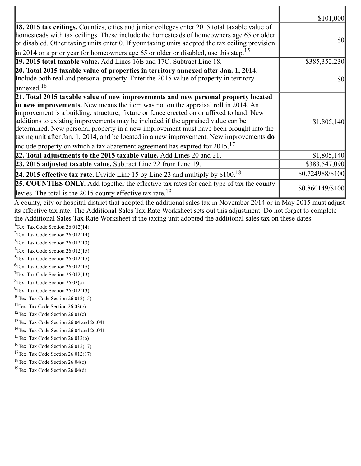|                                                                                                                                                                                                                                                                                                                                                                                                                                                                                                                                                                                                                                                | \$101,000        |
|------------------------------------------------------------------------------------------------------------------------------------------------------------------------------------------------------------------------------------------------------------------------------------------------------------------------------------------------------------------------------------------------------------------------------------------------------------------------------------------------------------------------------------------------------------------------------------------------------------------------------------------------|------------------|
| 18. 2015 tax ceilings. Counties, cities and junior colleges enter 2015 total taxable value of<br>homesteads with tax ceilings. These include the homesteads of homeowners age 65 or older<br>or disabled. Other taxing units enter 0. If your taxing units adopted the tax ceiling provision<br>$\parallel$ in 2014 or a prior year for homeowners age 65 or older or disabled, use this step. <sup>15</sup>                                                                                                                                                                                                                                   | <b>\$0</b>       |
| <b>19. 2015 total taxable value.</b> Add Lines 16E and 17C. Subtract Line 18.                                                                                                                                                                                                                                                                                                                                                                                                                                                                                                                                                                  | \$385,352,230    |
| 20. Total 2015 taxable value of properties in territory annexed after Jan. 1, 2014.<br>Include both real and personal property. Enter the 2015 value of property in territory<br>$\lvert$ annexed. <sup>16</sup>                                                                                                                                                                                                                                                                                                                                                                                                                               | <b>\$0</b>       |
| 21. Total 2015 taxable value of new improvements and new personal property located<br>in new improvements. New means the item was not on the appraisal roll in 2014. An<br>improvement is a building, structure, fixture or fence erected on or affixed to land. New<br>additions to existing improvements may be included if the appraised value can be<br>determined. New personal property in a new improvement must have been brought into the<br>taxing unit after Jan. 1, 2014, and be located in a new improvement. New improvements $do$<br>include property on which a tax abatement agreement has expired for $2015$ . <sup>17</sup> | \$1,805,140      |
| 22. Total adjustments to the 2015 taxable value. Add Lines 20 and 21.                                                                                                                                                                                                                                                                                                                                                                                                                                                                                                                                                                          | \$1,805,140      |
| 23. 2015 adjusted taxable value. Subtract Line 22 from Line 19.                                                                                                                                                                                                                                                                                                                                                                                                                                                                                                                                                                                | \$383,547,090    |
| 24. 2015 effective tax rate. Divide Line 15 by Line 23 and multiply by $$100.18$                                                                                                                                                                                                                                                                                                                                                                                                                                                                                                                                                               | \$0.724988/\$100 |
| <b>25. COUNTIES ONLY.</b> Add together the effective tax rates for each type of tax the county<br>levies. The total is the 2015 county effective tax rate. <sup>19</sup>                                                                                                                                                                                                                                                                                                                                                                                                                                                                       | \$0.860149/\$100 |
| A county, city or hospital district that adopted the additional sales tax in November 2014 or in May 2015 must adjust<br>its effective tax rate. The Additional Sales Tax Rate Worksheet sets out this adjustment. Do not forget to complete<br>the Additional Sales Tax Rate Worksheet if the taxing unit adopted the additional sales tax on these dates.                                                                                                                                                                                                                                                                                    |                  |

<sup>1</sup>Tex. Tax Code Section  $26.012(14)$ 

<sup>2</sup>Tex. Tax Code Section  $26.012(14)$ 

 $3$ Tex. Tax Code Section 26.012(13)

 $4$ Tex. Tax Code Section 26.012(15)

 $5$ Tex. Tax Code Section 26.012(15)  $6$ Tex. Tax Code Section 26.012(15)

 $7$ Tex. Tax Code Section 26.012(13)

 ${}^{8}$ Tex. Tax Code Section 26.03(c)

 $9$ Tex. Tax Code Section 26.012(13)

 $10$ Tex. Tax Code Section 26.012(15)

<sup>11</sup>Tex. Tax Code Section  $26.03(c)$ 

<sup>12</sup>Tex. Tax Code Section  $26.01(c)$ 

<sup>13</sup>Tex. Tax Code Section 26.04 and 26.041

<sup>14</sup>Tex. Tax Code Section 26.04 and 26.041

<sup>15</sup>Tex. Tax Code Section  $26.012(6)$ 

 $16$ Tex. Tax Code Section 26.012(17)

<sup>17</sup>Tex. Tax Code Section  $26.012(17)$ 

<sup>18</sup>Tex. Tax Code Section 26.04(c)

<sup>19</sup>Tex. Tax Code Section 26.04(d)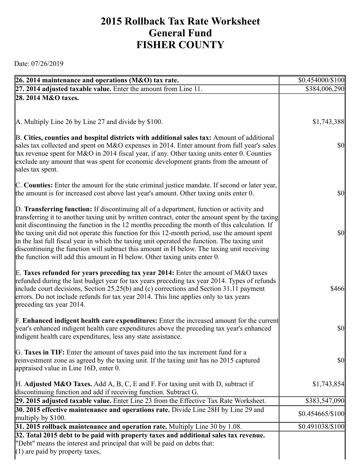## **2015 Rollback Tax Rate Worksheet General Fund FISHER COUNTY**

Date: 07/26/2019

| 26. 2014 maintenance and operations ( $M&O$ ) tax rate.                                                                                                                                                                                                                                                                                                                                                                                                                                                                                                                                                                                                                 | \$0.454000/\$100  |
|-------------------------------------------------------------------------------------------------------------------------------------------------------------------------------------------------------------------------------------------------------------------------------------------------------------------------------------------------------------------------------------------------------------------------------------------------------------------------------------------------------------------------------------------------------------------------------------------------------------------------------------------------------------------------|-------------------|
| $[27. 2014$ adjusted taxable value. Enter the amount from Line 11.                                                                                                                                                                                                                                                                                                                                                                                                                                                                                                                                                                                                      | \$384,006,290     |
| 28. 2014 M&O taxes.                                                                                                                                                                                                                                                                                                                                                                                                                                                                                                                                                                                                                                                     |                   |
| A. Multiply Line 26 by Line 27 and divide by \$100.                                                                                                                                                                                                                                                                                                                                                                                                                                                                                                                                                                                                                     | \$1,743,388       |
| B. Cities, counties and hospital districts with additional sales tax: Amount of additional<br>sales tax collected and spent on M&O expenses in 2014. Enter amount from full year's sales<br>tax revenue spent for M&O in 2014 fiscal year, if any. Other taxing units enter 0. Counties<br>exclude any amount that was spent for economic development grants from the amount of<br>sales tax spent.                                                                                                                                                                                                                                                                     | $\frac{1}{2}$     |
| C. Counties: Enter the amount for the state criminal justice mandate. If second or later year,<br>the amount is for increased cost above last year's amount. Other taxing units enter 0.                                                                                                                                                                                                                                                                                                                                                                                                                                                                                | $\frac{1}{2}$     |
| D. Transferring function: If discontinuing all of a department, function or activity and<br>transferring it to another taxing unit by written contract, enter the amount spent by the taxing<br>unit discontinuing the function in the 12 months preceding the month of this calculation. If<br>the taxing unit did not operate this function for this 12-month period, use the amount spent<br>in the last full fiscal year in which the taxing unit operated the function. The taxing unit<br>discontinuing the function will subtract this amount in H below. The taxing unit receiving<br>the function will add this amount in H below. Other taxing units enter 0. | $\frac{1}{2}$     |
| E. Taxes refunded for years preceding tax year 2014: Enter the amount of M&O taxes<br>refunded during the last budget year for tax years preceding tax year 2014. Types of refunds<br>include court decisions, Section $25.25(b)$ and (c) corrections and Section 31.11 payment<br>errors. Do not include refunds for tax year 2014. This line applies only to tax years<br>preceding tax year 2014.                                                                                                                                                                                                                                                                    | \$466             |
| <b>F. Enhanced indigent health care expenditures:</b> Enter the increased amount for the current<br>year's enhanced indigent health care expenditures above the preceding tax year's enhanced<br>indigent health care expenditures, less any state assistance.                                                                                                                                                                                                                                                                                                                                                                                                          | $\frac{1}{2}$     |
| G. Taxes in TIF: Enter the amount of taxes paid into the tax increment fund for a<br>reinvestment zone as agreed by the taxing unit. If the taxing unit has no 2015 captured<br>appraised value in Line $16D$ , enter 0.                                                                                                                                                                                                                                                                                                                                                                                                                                                | <b>\$0</b>        |
| <b>H.</b> Adjusted M&O Taxes. Add A, B, C, E and F. For taxing unit with D, subtract if<br>discontinuing function and add if receiving function. Subtract G.                                                                                                                                                                                                                                                                                                                                                                                                                                                                                                            | \$1,743,854       |
| [29. 2015 adjusted taxable value. Enter Line 23 from the Effective Tax Rate Worksheet.                                                                                                                                                                                                                                                                                                                                                                                                                                                                                                                                                                                  | \$383,547,090     |
| 30. 2015 effective maintenance and operations rate. Divide Line 28H by Line 29 and<br>multiply by $$100$ .                                                                                                                                                                                                                                                                                                                                                                                                                                                                                                                                                              | $$0.454665/\$100$ |
| 31. 2015 rollback maintenance and operation rate. Multiply Line 30 by 1.08.                                                                                                                                                                                                                                                                                                                                                                                                                                                                                                                                                                                             | \$0.491038/\$100  |
| 32. Total 2015 debt to be paid with property taxes and additional sales tax revenue.                                                                                                                                                                                                                                                                                                                                                                                                                                                                                                                                                                                    |                   |
| "Debt" means the interest and principal that will be paid on debts that:<br>$(1)$ are paid by property taxes,                                                                                                                                                                                                                                                                                                                                                                                                                                                                                                                                                           |                   |
|                                                                                                                                                                                                                                                                                                                                                                                                                                                                                                                                                                                                                                                                         |                   |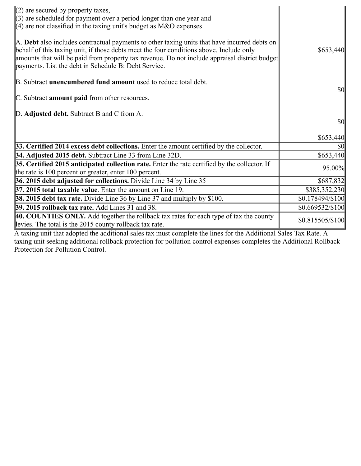| $(2)$ are secured by property taxes,<br>$(3)$ are scheduled for payment over a period longer than one year and<br>$(4)$ are not classified in the taxing unit's budget as M&O expenses                                                                                                                                                           |                  |
|--------------------------------------------------------------------------------------------------------------------------------------------------------------------------------------------------------------------------------------------------------------------------------------------------------------------------------------------------|------------------|
| A. Debt also includes contractual payments to other taxing units that have incurred debts on<br>behalf of this taxing unit, if those debts meet the four conditions above. Include only<br>amounts that will be paid from property tax revenue. Do not include appraisal district budget<br>payments. List the debt in Schedule B: Debt Service. | \$653,440        |
| B. Subtract <b>unencumbered fund amount</b> used to reduce total debt.                                                                                                                                                                                                                                                                           |                  |
| C. Subtract <b>amount paid</b> from other resources.                                                                                                                                                                                                                                                                                             | <b>\$0</b>       |
| D. Adjusted debt. Subtract B and C from A.                                                                                                                                                                                                                                                                                                       |                  |
|                                                                                                                                                                                                                                                                                                                                                  | <b>\$0</b>       |
|                                                                                                                                                                                                                                                                                                                                                  | \$653,440        |
| $33.$ Certified 2014 excess debt collections. Enter the amount certified by the collector.                                                                                                                                                                                                                                                       | $\sqrt{50}$      |
| 34. Adjusted 2015 debt. Subtract Line 33 from Line 32D.                                                                                                                                                                                                                                                                                          | \$653,440        |
| 35. Certified 2015 anticipated collection rate. Enter the rate certified by the collector. If<br>the rate is 100 percent or greater, enter 100 percent.                                                                                                                                                                                          | 95.00%           |
| 36. 2015 debt adjusted for collections. Divide Line 34 by Line 35                                                                                                                                                                                                                                                                                | \$687,832        |
| 37. 2015 total taxable value. Enter the amount on Line 19.                                                                                                                                                                                                                                                                                       | \$385,352,230    |
| <b>38. 2015 debt tax rate.</b> Divide Line 36 by Line 37 and multiply by \$100.                                                                                                                                                                                                                                                                  | \$0.178494/\$100 |
| 39. 2015 rollback tax rate. Add Lines 31 and 38.                                                                                                                                                                                                                                                                                                 | \$0.669532/\$100 |
| 40. COUNTIES ONLY. Add together the rollback tax rates for each type of tax the county<br>levies. The total is the 2015 county rollback tax rate.                                                                                                                                                                                                | \$0.815505/\$100 |
| A taxing unit that adopted the additional sales tax must complete the lines for the Additional Sales Tay Rate A                                                                                                                                                                                                                                  |                  |

A taxing unit that adopted the additional sales tax must complete the lines for the Additional Sales Tax Rate. A taxing unit seeking additional rollback protection for pollution control expenses completes the Additional Rollback Protection for Pollution Control.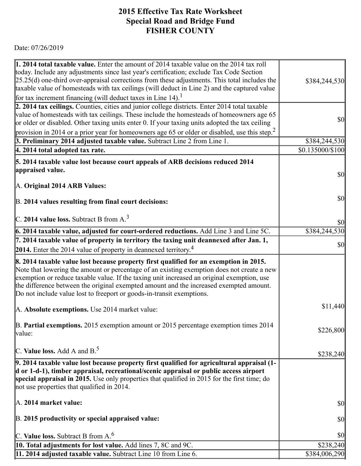## 7/26/2019 https://actweb.acttax.com/tnt/application/reports/1564149533585.html **2015 Effective Tax Rate Worksheet Special Road and Bridge Fund FISHER COUNTY**

Date: 07/26/2019

| 1. 2014 total taxable value. Enter the amount of 2014 taxable value on the 2014 tax roll<br>today. Include any adjustments since last year's certification; exclude Tax Code Section<br>$[25.25(d)$ one-third over-appraisal corrections from these adjustments. This total includes the                                                                                                                                                             | \$384,244,530                       |
|------------------------------------------------------------------------------------------------------------------------------------------------------------------------------------------------------------------------------------------------------------------------------------------------------------------------------------------------------------------------------------------------------------------------------------------------------|-------------------------------------|
| taxable value of homesteads with tax ceilings (will deduct in Line 2) and the captured value                                                                                                                                                                                                                                                                                                                                                         |                                     |
| for tax increment financing (will deduct taxes in Line 14). <sup>1</sup>                                                                                                                                                                                                                                                                                                                                                                             |                                     |
| 2. 2014 tax ceilings. Counties, cities and junior college districts. Enter 2014 total taxable                                                                                                                                                                                                                                                                                                                                                        |                                     |
| value of homesteads with tax ceilings. These include the homesteads of homeowners age 65<br>or older or disabled. Other taxing units enter 0. If your taxing units adopted the tax ceiling                                                                                                                                                                                                                                                           | <b>\$0</b>                          |
| provision in 2014 or a prior year for homeowners age 65 or older or disabled, use this step. <sup>2</sup>                                                                                                                                                                                                                                                                                                                                            |                                     |
| 3. Preliminary 2014 adjusted taxable value. Subtract Line 2 from Line 1.                                                                                                                                                                                                                                                                                                                                                                             | \$384,244,530                       |
| $ 4.2014$ total adopted tax rate.                                                                                                                                                                                                                                                                                                                                                                                                                    | \$0.135000/\$100                    |
| 5. 2014 taxable value lost because court appeals of ARB decisions reduced 2014                                                                                                                                                                                                                                                                                                                                                                       |                                     |
| appraised value.                                                                                                                                                                                                                                                                                                                                                                                                                                     | $\vert \mathbf{S} \mathbf{0} \vert$ |
| A. Original 2014 ARB Values:                                                                                                                                                                                                                                                                                                                                                                                                                         |                                     |
| B. 2014 values resulting from final court decisions:                                                                                                                                                                                                                                                                                                                                                                                                 | $\vert \mathbf{S} \mathbf{0} \vert$ |
| $\vert$ C. 2014 value loss. Subtract B from A. <sup>3</sup>                                                                                                                                                                                                                                                                                                                                                                                          | $\vert \mathbf{S} \mathbf{0} \vert$ |
| $\vert$ 6. 2014 taxable value, adjusted for court-ordered reductions. Add Line 3 and Line 5C.                                                                                                                                                                                                                                                                                                                                                        | \$384,244,530                       |
| 7. 2014 taxable value of property in territory the taxing unit deannexed after Jan. 1,                                                                                                                                                                                                                                                                                                                                                               |                                     |
| 2014. Enter the 2014 value of property in deannexed territory. <sup>4</sup>                                                                                                                                                                                                                                                                                                                                                                          | $\vert \mathbf{S} \mathbf{0} \vert$ |
| 8. 2014 taxable value lost because property first qualified for an exemption in 2015.<br>Note that lowering the amount or percentage of an existing exemption does not create a new<br>exemption or reduce taxable value. If the taxing unit increased an original exemption, use<br>the difference between the original exempted amount and the increased exempted amount.<br>Do not include value lost to freeport or goods-in-transit exemptions. |                                     |
| A. Absolute exemptions. Use 2014 market value:                                                                                                                                                                                                                                                                                                                                                                                                       | \$11,440                            |
| B. Partial exemptions. 2015 exemption amount or 2015 percentage exemption times $2014$<br>value:                                                                                                                                                                                                                                                                                                                                                     | \$226,800                           |
| C. Value loss. Add A and $B^5$ .                                                                                                                                                                                                                                                                                                                                                                                                                     | \$238,240                           |
| $\vert$ 9. 2014 taxable value lost because property first qualified for agricultural appraisal (1-<br>d or 1-d-1), timber appraisal, recreational/scenic appraisal or public access airport<br>special appraisal in 2015. Use only properties that qualified in 2015 for the first time; do<br>not use properties that qualified in 2014.                                                                                                            |                                     |
| $\mathbb{A}$ . 2014 market value:                                                                                                                                                                                                                                                                                                                                                                                                                    | $\vert \mathbf{S} \mathbf{O} \vert$ |
| B. 2015 productivity or special appraised value:                                                                                                                                                                                                                                                                                                                                                                                                     | $\vert \mathbf{S} \mathbf{O} \vert$ |
| C. Value loss. Subtract B from $A6$                                                                                                                                                                                                                                                                                                                                                                                                                  | <b>\$0</b>                          |
| <b>10. Total adjustments for lost value.</b> Add lines 7, 8C and 9C.                                                                                                                                                                                                                                                                                                                                                                                 | \$238,240                           |
| 11. 2014 adjusted taxable value. Subtract Line 10 from Line 6.                                                                                                                                                                                                                                                                                                                                                                                       | \$384,006,290                       |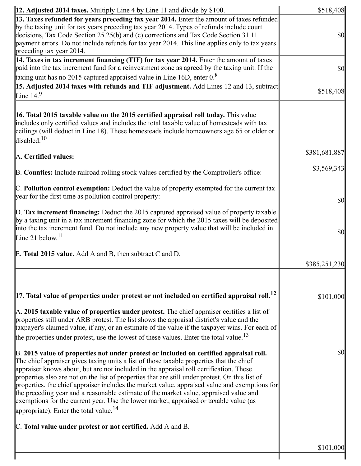| 13. Taxes refunded for years preceding tax year 2014. Enter the amount of taxes refunded<br>by the taxing unit for tax years preceding tax year 2014. Types of refunds include court<br>decisions, Tax Code Section 25.25(b) and (c) corrections and Tax Code Section 31.11<br>payment errors. Do not include refunds for tax year 2014. This line applies only to tax years<br>preceding tax year 2014.                                                                                                                                                                                                                                                                                                           | \$0           |
|--------------------------------------------------------------------------------------------------------------------------------------------------------------------------------------------------------------------------------------------------------------------------------------------------------------------------------------------------------------------------------------------------------------------------------------------------------------------------------------------------------------------------------------------------------------------------------------------------------------------------------------------------------------------------------------------------------------------|---------------|
| 14. Taxes in tax increment financing (TIF) for tax year 2014. Enter the amount of taxes<br>paid into the tax increment fund for a reinvestment zone as agreed by the taxing unit. If the<br>taxing unit has no 2015 captured appraised value in Line 16D, enter $0.8$                                                                                                                                                                                                                                                                                                                                                                                                                                              | <b>\$0</b>    |
| 15. Adjusted 2014 taxes with refunds and TIF adjustment. Add Lines 12 and 13, subtract<br>Line $149$                                                                                                                                                                                                                                                                                                                                                                                                                                                                                                                                                                                                               | \$518,408     |
| <b>16. Total 2015 taxable value on the 2015 certified appraisal roll today.</b> This value<br>includes only certified values and includes the total taxable value of homesteads with tax<br>ceilings (will deduct in Line 18). These homesteads include homeowners age 65 or older or<br>disabled. <sup>10</sup>                                                                                                                                                                                                                                                                                                                                                                                                   |               |
| A. Certified values:                                                                                                                                                                                                                                                                                                                                                                                                                                                                                                                                                                                                                                                                                               | \$381,681,887 |
| B. Counties: Include railroad rolling stock values certified by the Comptroller's office:                                                                                                                                                                                                                                                                                                                                                                                                                                                                                                                                                                                                                          | \$3,569,343   |
| C. Pollution control exemption: Deduct the value of property exempted for the current tax<br>year for the first time as pollution control property:                                                                                                                                                                                                                                                                                                                                                                                                                                                                                                                                                                | \$0           |
| $\mathbb{D}$ . Tax increment financing: Deduct the 2015 captured appraised value of property taxable<br>by a taxing unit in a tax increment financing zone for which the 2015 taxes will be deposited<br>into the tax increment fund. Do not include any new property value that will be included in<br>Line 21 below. <sup>11</sup>                                                                                                                                                                                                                                                                                                                                                                               | \$0           |
| E. Total 2015 value. Add A and B, then subtract C and D.                                                                                                                                                                                                                                                                                                                                                                                                                                                                                                                                                                                                                                                           | \$385,251,230 |
|                                                                                                                                                                                                                                                                                                                                                                                                                                                                                                                                                                                                                                                                                                                    |               |
| $\vert$ 17. Total value of properties under protest or not included on certified appraisal roll. $^{12}$<br>$\mathbb A$ . 2015 taxable value of properties under protest. The chief appraiser certifies a list of<br>properties still under ARB protest. The list shows the appraisal district's value and the<br>taxpayer's claimed value, if any, or an estimate of the value if the taxpayer wins. For each of<br>the properties under protest, use the lowest of these values. Enter the total value. <sup>13</sup>                                                                                                                                                                                            | \$101,000     |
| B. 2015 value of properties not under protest or included on certified appraisal roll.<br>The chief appraiser gives taxing units a list of those taxable properties that the chief<br>appraiser knows about, but are not included in the appraisal roll certification. These<br>properties also are not on the list of properties that are still under protest. On this list of<br>properties, the chief appraiser includes the market value, appraised value and exemptions for<br>the preceding year and a reasonable estimate of the market value, appraised value and<br>exemptions for the current year. Use the lower market, appraised or taxable value (as<br>appropriate). Enter the total value. $^{14}$ | \$0           |
| C. Total value under protest or not certified. Add A and B.                                                                                                                                                                                                                                                                                                                                                                                                                                                                                                                                                                                                                                                        |               |
|                                                                                                                                                                                                                                                                                                                                                                                                                                                                                                                                                                                                                                                                                                                    | \$101,000     |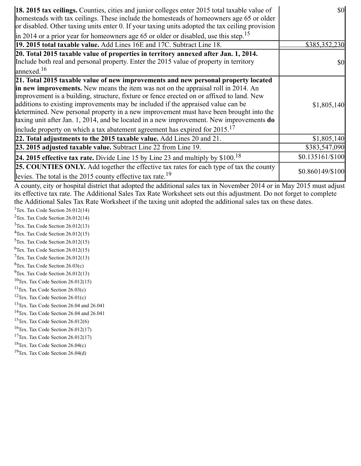| <b>18. 2015 tax ceilings.</b> Counties, cities and junior colleges enter 2015 total taxable value of<br>homesteads with tax ceilings. These include the homesteads of homeowners age 65 or older<br>or disabled. Other taxing units enter 0. If your taxing units adopted the tax ceiling provision | $\frac{1}{2}$     |
|-----------------------------------------------------------------------------------------------------------------------------------------------------------------------------------------------------------------------------------------------------------------------------------------------------|-------------------|
| $\ $ in 2014 or a prior year for homeowners age 65 or older or disabled, use this step. <sup>15</sup>                                                                                                                                                                                               |                   |
| 19. 2015 total taxable value. Add Lines 16E and 17C. Subtract Line 18.                                                                                                                                                                                                                              | \$385,352,230     |
| 20. Total 2015 taxable value of properties in territory annexed after Jan. 1, 2014.                                                                                                                                                                                                                 |                   |
| Include both real and personal property. Enter the 2015 value of property in territory                                                                                                                                                                                                              | \$0               |
| $\ell$ annexed. <sup>16</sup>                                                                                                                                                                                                                                                                       |                   |
| 21. Total 2015 taxable value of new improvements and new personal property located                                                                                                                                                                                                                  |                   |
| <b>in new improvements.</b> New means the item was not on the appraisal roll in 2014. An                                                                                                                                                                                                            |                   |
| improvement is a building, structure, fixture or fence erected on or affixed to land. New                                                                                                                                                                                                           |                   |
| additions to existing improvements may be included if the appraised value can be                                                                                                                                                                                                                    | \$1,805,140       |
| determined. New personal property in a new improvement must have been brought into the                                                                                                                                                                                                              |                   |
| taxing unit after Jan. 1, 2014, and be located in a new improvement. New improvements do                                                                                                                                                                                                            |                   |
| include property on which a tax abatement agreement has expired for $2015$ . <sup>17</sup>                                                                                                                                                                                                          |                   |
| 22. Total adjustments to the 2015 taxable value. Add Lines 20 and 21.                                                                                                                                                                                                                               | \$1,805,140       |
| 23. 2015 adjusted taxable value. Subtract Line 22 from Line 19.                                                                                                                                                                                                                                     | \$383,547,090     |
| <b>24. 2015 effective tax rate.</b> Divide Line 15 by Line 23 and multiply by $$100$ . <sup>18</sup>                                                                                                                                                                                                | $$0.135161/\$100$ |
| <b>25. COUNTIES ONLY.</b> Add together the effective tax rates for each type of tax the county                                                                                                                                                                                                      | \$0.860149/\$100  |
| levies. The total is the 2015 county effective tax rate. <sup>19</sup>                                                                                                                                                                                                                              |                   |

A county, city or hospital district that adopted the additional sales tax in November 2014 or in May 2015 must adjust its effective tax rate. The Additional Sales Tax Rate Worksheet sets out this adjustment. Do not forget to complete the Additional Sales Tax Rate Worksheet if the taxing unit adopted the additional sales tax on these dates.

<sup>1</sup>Tex. Tax Code Section 26.012(14)

<sup>2</sup>Tex. Tax Code Section  $26.012(14)$ 

 $3$ Tex. Tax Code Section 26.012(13)  $4$ Tex. Tax Code Section 26.012(15)

 $5$ Tex. Tax Code Section 26.012(15)

 ${}^{6}$ Tex. Tax Code Section 26.012(15)

 $7$ Tex. Tax Code Section 26.012(13)

 ${}^{8}$ Tex. Tax Code Section 26.03(c)

 $^{9}$ Tex. Tax Code Section 26.012(13)

 $10$ Tex. Tax Code Section 26.012(15)

<sup>11</sup>Tex. Tax Code Section  $26.03(c)$ 

<sup>12</sup>Tex. Tax Code Section  $26.01(c)$ 

<sup>13</sup>Tex. Tax Code Section 26.04 and 26.041

<sup>14</sup>Tex. Tax Code Section 26.04 and 26.041

<sup>15</sup>Tex. Tax Code Section  $26.012(6)$ 

 $16$ Tex. Tax Code Section 26.012(17)

<sup>17</sup>Tex. Tax Code Section  $26.012(17)$ 

<sup>18</sup>Tex. Tax Code Section  $26.04(c)$ 

 $19$ Tex. Tax Code Section 26.04(d)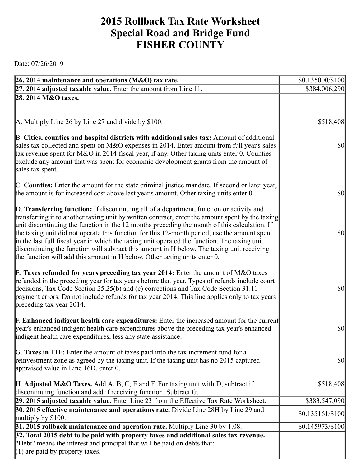## **2015 Rollback Tax Rate Worksheet Special Road and Bridge Fund FISHER COUNTY**

Date: 07/26/2019

| 26. 2014 maintenance and operations (M&O) tax rate.                                                                                                                                                                                                                                     | \$0.135000/\$100                    |
|-----------------------------------------------------------------------------------------------------------------------------------------------------------------------------------------------------------------------------------------------------------------------------------------|-------------------------------------|
| $[27. 2014$ adjusted taxable value. Enter the amount from Line 11.                                                                                                                                                                                                                      | \$384,006,290                       |
| 28. 2014 M&O taxes.                                                                                                                                                                                                                                                                     |                                     |
|                                                                                                                                                                                                                                                                                         |                                     |
| A. Multiply Line 26 by Line 27 and divide by \$100.                                                                                                                                                                                                                                     | \$518,408                           |
|                                                                                                                                                                                                                                                                                         |                                     |
| B. Cities, counties and hospital districts with additional sales tax: Amount of additional<br>sales tax collected and spent on M&O expenses in 2014. Enter amount from full year's sales<br>tax revenue spent for M&O in 2014 fiscal year, if any. Other taxing units enter 0. Counties | \$0                                 |
| exclude any amount that was spent for economic development grants from the amount of<br>sales tax spent.                                                                                                                                                                                |                                     |
| C. Counties: Enter the amount for the state criminal justice mandate. If second or later year,                                                                                                                                                                                          |                                     |
| the amount is for increased cost above last year's amount. Other taxing units enter 0.                                                                                                                                                                                                  | $ 10\rangle$                        |
| D. Transferring function: If discontinuing all of a department, function or activity and<br>transferring it to another taxing unit by written contract, enter the amount spent by the taxing                                                                                            |                                     |
| unit discontinuing the function in the 12 months preceding the month of this calculation. If                                                                                                                                                                                            |                                     |
| the taxing unit did not operate this function for this 12-month period, use the amount spent<br>in the last full fiscal year in which the taxing unit operated the function. The taxing unit                                                                                            | $ 10\rangle$                        |
| discontinuing the function will subtract this amount in H below. The taxing unit receiving                                                                                                                                                                                              |                                     |
| the function will add this amount in H below. Other taxing units enter 0.                                                                                                                                                                                                               |                                     |
| E. Taxes refunded for years preceding tax year 2014: Enter the amount of M&O taxes                                                                                                                                                                                                      |                                     |
| refunded in the preceding year for tax years before that year. Types of refunds include court                                                                                                                                                                                           |                                     |
| decisions, Tax Code Section 25.25(b) and (c) corrections and Tax Code Section 31.11                                                                                                                                                                                                     | $\vert \mathbf{S} \mathbf{0} \vert$ |
| payment errors. Do not include refunds for tax year 2014. This line applies only to tax years<br>preceding tax year 2014.                                                                                                                                                               |                                     |
|                                                                                                                                                                                                                                                                                         |                                     |
| <b>F. Enhanced indigent health care expenditures:</b> Enter the increased amount for the current                                                                                                                                                                                        |                                     |
| year's enhanced indigent health care expenditures above the preceding tax year's enhanced                                                                                                                                                                                               | \$0                                 |
| indigent health care expenditures, less any state assistance.                                                                                                                                                                                                                           |                                     |
| G. Taxes in TIF: Enter the amount of taxes paid into the tax increment fund for a                                                                                                                                                                                                       |                                     |
| reinvestment zone as agreed by the taxing unit. If the taxing unit has no 2015 captured                                                                                                                                                                                                 | \$0                                 |
| appraised value in Line 16D, enter 0.                                                                                                                                                                                                                                                   |                                     |
| H. Adjusted M&O Taxes. Add A, B, C, E and F. For taxing unit with D, subtract if                                                                                                                                                                                                        | \$518,408                           |
| discontinuing function and add if receiving function. Subtract G.                                                                                                                                                                                                                       |                                     |
| 29. 2015 adjusted taxable value. Enter Line 23 from the Effective Tax Rate Worksheet.                                                                                                                                                                                                   | \$383,547,090                       |
| 30. 2015 effective maintenance and operations rate. Divide Line 28H by Line 29 and<br>multiply by $$100$ .                                                                                                                                                                              | \$0.135161/\$100                    |
| 31. 2015 rollback maintenance and operation rate. Multiply Line 30 by 1.08.                                                                                                                                                                                                             | \$0.145973/\$100                    |
| 32. Total 2015 debt to be paid with property taxes and additional sales tax revenue.                                                                                                                                                                                                    |                                     |
| "Debt" means the interest and principal that will be paid on debts that:                                                                                                                                                                                                                |                                     |
| $(1)$ are paid by property taxes,                                                                                                                                                                                                                                                       |                                     |